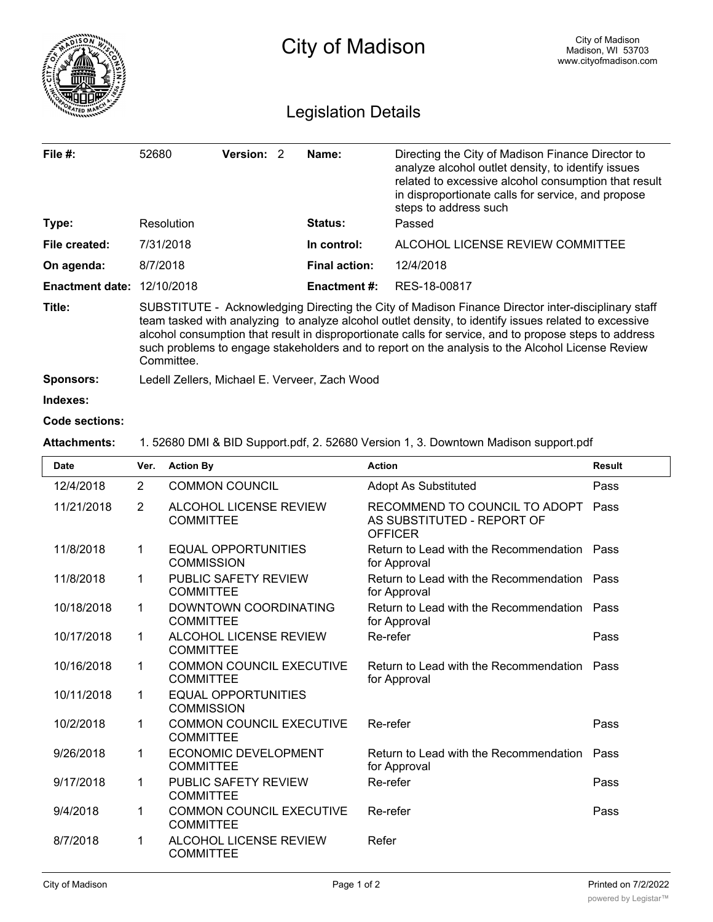|                                   | <b>City of Madison</b>                                                                                                                                                                                                                                                                                                                                                                                                                  |            |                      |                                                                                                                                                                                                                                                | City of Madison<br>Madison, WI 53703<br>www.cityofmadison.com |  |  |  |
|-----------------------------------|-----------------------------------------------------------------------------------------------------------------------------------------------------------------------------------------------------------------------------------------------------------------------------------------------------------------------------------------------------------------------------------------------------------------------------------------|------------|----------------------|------------------------------------------------------------------------------------------------------------------------------------------------------------------------------------------------------------------------------------------------|---------------------------------------------------------------|--|--|--|
| <b>Legislation Details</b>        |                                                                                                                                                                                                                                                                                                                                                                                                                                         |            |                      |                                                                                                                                                                                                                                                |                                                               |  |  |  |
| File $#$ :                        | 52680                                                                                                                                                                                                                                                                                                                                                                                                                                   | Version: 2 | Name:                | Directing the City of Madison Finance Director to<br>analyze alcohol outlet density, to identify issues<br>related to excessive alcohol consumption that result<br>in disproportionate calls for service, and propose<br>steps to address such |                                                               |  |  |  |
| Type:                             | Resolution                                                                                                                                                                                                                                                                                                                                                                                                                              |            | Status:              | Passed                                                                                                                                                                                                                                         |                                                               |  |  |  |
| File created:                     | 7/31/2018                                                                                                                                                                                                                                                                                                                                                                                                                               |            | In control:          | ALCOHOL LICENSE REVIEW COMMITTEE                                                                                                                                                                                                               |                                                               |  |  |  |
| On agenda:                        | 8/7/2018                                                                                                                                                                                                                                                                                                                                                                                                                                |            | <b>Final action:</b> | 12/4/2018                                                                                                                                                                                                                                      |                                                               |  |  |  |
| <b>Enactment date: 12/10/2018</b> |                                                                                                                                                                                                                                                                                                                                                                                                                                         |            | <b>Enactment #:</b>  | RES-18-00817                                                                                                                                                                                                                                   |                                                               |  |  |  |
| Title:                            | SUBSTITUTE - Acknowledging Directing the City of Madison Finance Director inter-disciplinary staff<br>team tasked with analyzing to analyze alcohol outlet density, to identify issues related to excessive<br>alcohol consumption that result in disproportionate calls for service, and to propose steps to address<br>such problems to engage stakeholders and to report on the analysis to the Alcohol License Review<br>Committee. |            |                      |                                                                                                                                                                                                                                                |                                                               |  |  |  |
| <b>Sponsors:</b>                  | Ledell Zellers, Michael E. Verveer, Zach Wood                                                                                                                                                                                                                                                                                                                                                                                           |            |                      |                                                                                                                                                                                                                                                |                                                               |  |  |  |
| Indexes:                          |                                                                                                                                                                                                                                                                                                                                                                                                                                         |            |                      |                                                                                                                                                                                                                                                |                                                               |  |  |  |
| Code sections:                    |                                                                                                                                                                                                                                                                                                                                                                                                                                         |            |                      |                                                                                                                                                                                                                                                |                                                               |  |  |  |
| <b>Attachments:</b>               | 1. 52680 DMI & BID Support.pdf, 2. 52680 Version 1, 3. Downtown Madison support.pdf                                                                                                                                                                                                                                                                                                                                                     |            |                      |                                                                                                                                                                                                                                                |                                                               |  |  |  |

| <b>Date</b> | Ver.           | <b>Action By</b>                                    | <b>Action</b>                                                                 | <b>Result</b> |
|-------------|----------------|-----------------------------------------------------|-------------------------------------------------------------------------------|---------------|
| 12/4/2018   | 2              | <b>COMMON COUNCIL</b>                               | <b>Adopt As Substituted</b>                                                   | Pass          |
| 11/21/2018  | $\overline{2}$ | ALCOHOL LICENSE REVIEW<br><b>COMMITTEE</b>          | RECOMMEND TO COUNCIL TO ADOPT<br>AS SUBSTITUTED - REPORT OF<br><b>OFFICER</b> | Pass          |
| 11/8/2018   | $\mathbf 1$    | EQUAL OPPORTUNITIES<br><b>COMMISSION</b>            | Return to Lead with the Recommendation Pass<br>for Approval                   |               |
| 11/8/2018   | 1              | PUBLIC SAFETY REVIEW<br><b>COMMITTEE</b>            | Return to Lead with the Recommendation Pass<br>for Approval                   |               |
| 10/18/2018  | 1              | DOWNTOWN COORDINATING<br><b>COMMITTEE</b>           | Return to Lead with the Recommendation Pass<br>for Approval                   |               |
| 10/17/2018  | 1              | ALCOHOL LICENSE REVIEW<br><b>COMMITTEE</b>          | Re-refer                                                                      | Pass          |
| 10/16/2018  | $\mathbf 1$    | <b>COMMON COUNCIL EXECUTIVE</b><br><b>COMMITTEE</b> | Return to Lead with the Recommendation Pass<br>for Approval                   |               |
| 10/11/2018  | 1              | <b>EQUAL OPPORTUNITIES</b><br><b>COMMISSION</b>     |                                                                               |               |
| 10/2/2018   | 1              | <b>COMMON COUNCIL EXECUTIVE</b><br><b>COMMITTEE</b> | Re-refer                                                                      | Pass          |
| 9/26/2018   | 1              | <b>ECONOMIC DEVELOPMENT</b><br><b>COMMITTEE</b>     | Return to Lead with the Recommendation<br>for Approval                        | Pass          |
| 9/17/2018   | 1              | PUBLIC SAFETY REVIEW<br><b>COMMITTEE</b>            | Re-refer                                                                      | Pass          |
| 9/4/2018    | 1              | <b>COMMON COUNCIL EXECUTIVE</b><br><b>COMMITTEE</b> | Re-refer                                                                      | Pass          |
| 8/7/2018    | 1              | ALCOHOL LICENSE REVIEW<br><b>COMMITTEE</b>          | Refer                                                                         |               |